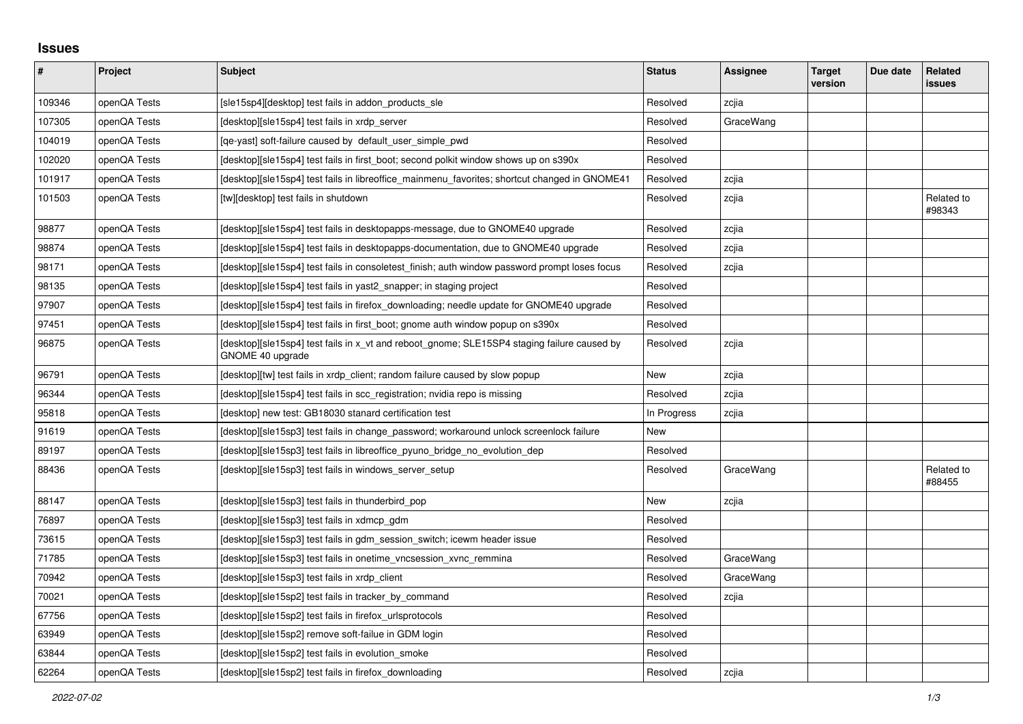## **Issues**

| #      | Project      | <b>Subject</b>                                                                                                  | <b>Status</b> | Assignee  | <b>Target</b><br>version | Due date | Related<br>issues    |
|--------|--------------|-----------------------------------------------------------------------------------------------------------------|---------------|-----------|--------------------------|----------|----------------------|
| 109346 | openQA Tests | [sle15sp4][desktop] test fails in addon_products_sle                                                            | Resolved      | zcjia     |                          |          |                      |
| 107305 | openQA Tests | [desktop][sle15sp4] test fails in xrdp_server                                                                   | Resolved      | GraceWang |                          |          |                      |
| 104019 | openQA Tests | [ge-yast] soft-failure caused by default user simple pwd                                                        | Resolved      |           |                          |          |                      |
| 102020 | openQA Tests | [desktop][sle15sp4] test fails in first boot; second polkit window shows up on s390x                            | Resolved      |           |                          |          |                      |
| 101917 | openQA Tests | [desktop][sle15sp4] test fails in libreoffice_mainmenu_favorites; shortcut changed in GNOME41                   | Resolved      | zcjia     |                          |          |                      |
| 101503 | openQA Tests | [tw][desktop] test fails in shutdown                                                                            | Resolved      | zcjia     |                          |          | Related to<br>#98343 |
| 98877  | openQA Tests | [desktop][sle15sp4] test fails in desktopapps-message, due to GNOME40 upgrade                                   | Resolved      | zcjia     |                          |          |                      |
| 98874  | openQA Tests | [desktop][sle15sp4] test fails in desktopapps-documentation, due to GNOME40 upgrade                             | Resolved      | zcjia     |                          |          |                      |
| 98171  | openQA Tests | [desktop][sle15sp4] test fails in consoletest_finish; auth window password prompt loses focus                   | Resolved      | zcjia     |                          |          |                      |
| 98135  | openQA Tests | [desktop][sle15sp4] test fails in yast2 snapper; in staging project                                             | Resolved      |           |                          |          |                      |
| 97907  | openQA Tests | [desktop][sle15sp4] test fails in firefox downloading; needle update for GNOME40 upgrade                        | Resolved      |           |                          |          |                      |
| 97451  | openQA Tests | [desktop][sle15sp4] test fails in first_boot; gnome auth window popup on s390x                                  | Resolved      |           |                          |          |                      |
| 96875  | openQA Tests | [desktop][sle15sp4] test fails in x_vt and reboot_gnome; SLE15SP4 staging failure caused by<br>GNOME 40 upgrade | Resolved      | zcjia     |                          |          |                      |
| 96791  | openQA Tests | [desktop][tw] test fails in xrdp client; random failure caused by slow popup                                    | New           | zcjia     |                          |          |                      |
| 96344  | openQA Tests | [desktop][sle15sp4] test fails in scc registration; nvidia repo is missing                                      | Resolved      | zcjia     |                          |          |                      |
| 95818  | openQA Tests | [desktop] new test: GB18030 stanard certification test                                                          | In Progress   | zcjia     |                          |          |                      |
| 91619  | openQA Tests | [desktop][sle15sp3] test fails in change password; workaround unlock screenlock failure                         | <b>New</b>    |           |                          |          |                      |
| 89197  | openQA Tests | [desktop][sle15sp3] test fails in libreoffice pyuno bridge no evolution dep                                     | Resolved      |           |                          |          |                      |
| 88436  | openQA Tests | [desktop][sle15sp3] test fails in windows_server_setup                                                          | Resolved      | GraceWang |                          |          | Related to<br>#88455 |
| 88147  | openQA Tests | [desktop][sle15sp3] test fails in thunderbird_pop                                                               | <b>New</b>    | zcjia     |                          |          |                      |
| 76897  | openQA Tests | [desktop][sle15sp3] test fails in xdmcp gdm                                                                     | Resolved      |           |                          |          |                      |
| 73615  | openQA Tests | [desktop][sle15sp3] test fails in gdm session switch; icewm header issue                                        | Resolved      |           |                          |          |                      |
| 71785  | openQA Tests | [desktop][sle15sp3] test fails in onetime_vncsession_xvnc_remmina                                               | Resolved      | GraceWang |                          |          |                      |
| 70942  | openQA Tests | [desktop][sle15sp3] test fails in xrdp_client                                                                   | Resolved      | GraceWang |                          |          |                      |
| 70021  | openQA Tests | [desktop][sle15sp2] test fails in tracker by command                                                            | Resolved      | zcjia     |                          |          |                      |
| 67756  | openQA Tests | [desktop][sle15sp2] test fails in firefox urlsprotocols                                                         | Resolved      |           |                          |          |                      |
| 63949  | openQA Tests | [desktop][sle15sp2] remove soft-failue in GDM login                                                             | Resolved      |           |                          |          |                      |
| 63844  | openQA Tests | [desktop][sle15sp2] test fails in evolution_smoke                                                               | Resolved      |           |                          |          |                      |
| 62264  | openQA Tests | [desktop][sle15sp2] test fails in firefox downloading                                                           | Resolved      | zcjia     |                          |          |                      |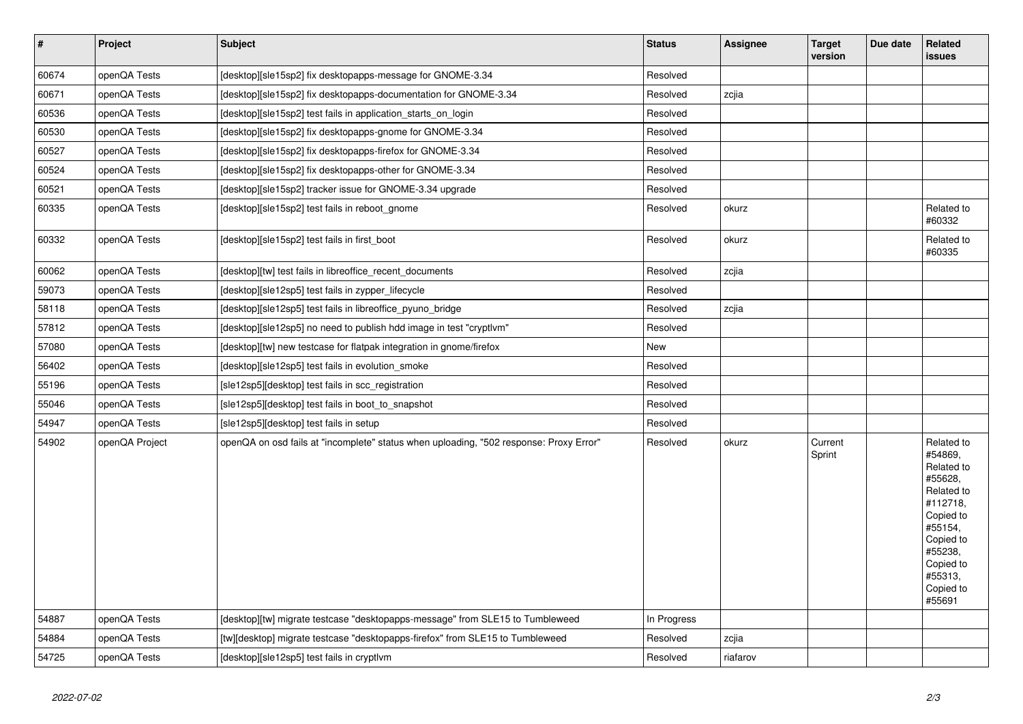| $\vert$ # | Project        | <b>Subject</b>                                                                         | <b>Status</b> | Assignee | <b>Target</b><br>version | Due date | Related<br><b>issues</b>                                                                                                                                                |
|-----------|----------------|----------------------------------------------------------------------------------------|---------------|----------|--------------------------|----------|-------------------------------------------------------------------------------------------------------------------------------------------------------------------------|
| 60674     | openQA Tests   | [desktop][sle15sp2] fix desktopapps-message for GNOME-3.34                             | Resolved      |          |                          |          |                                                                                                                                                                         |
| 60671     | openQA Tests   | [desktop][sle15sp2] fix desktopapps-documentation for GNOME-3.34                       | Resolved      | zcjia    |                          |          |                                                                                                                                                                         |
| 60536     | openQA Tests   | [desktop][sle15sp2] test fails in application_starts_on_login                          | Resolved      |          |                          |          |                                                                                                                                                                         |
| 60530     | openQA Tests   | [desktop][sle15sp2] fix desktopapps-gnome for GNOME-3.34                               | Resolved      |          |                          |          |                                                                                                                                                                         |
| 60527     | openQA Tests   | [desktop][sle15sp2] fix desktopapps-firefox for GNOME-3.34                             | Resolved      |          |                          |          |                                                                                                                                                                         |
| 60524     | openQA Tests   | [desktop][sle15sp2] fix desktopapps-other for GNOME-3.34                               | Resolved      |          |                          |          |                                                                                                                                                                         |
| 60521     | openQA Tests   | [desktop][sle15sp2] tracker issue for GNOME-3.34 upgrade                               | Resolved      |          |                          |          |                                                                                                                                                                         |
| 60335     | openQA Tests   | [desktop][sle15sp2] test fails in reboot_gnome                                         | Resolved      | okurz    |                          |          | Related to<br>#60332                                                                                                                                                    |
| 60332     | openQA Tests   | [desktop][sle15sp2] test fails in first_boot                                           | Resolved      | okurz    |                          |          | Related to<br>#60335                                                                                                                                                    |
| 60062     | openQA Tests   | [desktop][tw] test fails in libreoffice recent documents                               | Resolved      | zcjia    |                          |          |                                                                                                                                                                         |
| 59073     | openQA Tests   | [desktop][sle12sp5] test fails in zypper_lifecycle                                     | Resolved      |          |                          |          |                                                                                                                                                                         |
| 58118     | openQA Tests   | [desktop][sle12sp5] test fails in libreoffice_pyuno_bridge                             | Resolved      | zcjia    |                          |          |                                                                                                                                                                         |
| 57812     | openQA Tests   | [desktop][sle12sp5] no need to publish hdd image in test "cryptlvm"                    | Resolved      |          |                          |          |                                                                                                                                                                         |
| 57080     | openQA Tests   | [desktop][tw] new testcase for flatpak integration in gnome/firefox                    | New           |          |                          |          |                                                                                                                                                                         |
| 56402     | openQA Tests   | [desktop][sle12sp5] test fails in evolution_smoke                                      | Resolved      |          |                          |          |                                                                                                                                                                         |
| 55196     | openQA Tests   | [sle12sp5][desktop] test fails in scc_registration                                     | Resolved      |          |                          |          |                                                                                                                                                                         |
| 55046     | openQA Tests   | [sle12sp5][desktop] test fails in boot_to_snapshot                                     | Resolved      |          |                          |          |                                                                                                                                                                         |
| 54947     | openQA Tests   | [sle12sp5][desktop] test fails in setup                                                | Resolved      |          |                          |          |                                                                                                                                                                         |
| 54902     | openQA Project | openQA on osd fails at "incomplete" status when uploading, "502 response: Proxy Error" | Resolved      | okurz    | Current<br>Sprint        |          | Related to<br>#54869,<br>Related to<br>#55628,<br>Related to<br>#112718,<br>Copied to<br>#55154,<br>Copied to<br>#55238,<br>Copied to<br>#55313,<br>Copied to<br>#55691 |
| 54887     | openQA Tests   | [desktop][tw] migrate testcase "desktopapps-message" from SLE15 to Tumbleweed          | In Progress   |          |                          |          |                                                                                                                                                                         |
| 54884     | openQA Tests   | [tw][desktop] migrate testcase "desktopapps-firefox" from SLE15 to Tumbleweed          | Resolved      | zcjia    |                          |          |                                                                                                                                                                         |
| 54725     | openQA Tests   | [desktop][sle12sp5] test fails in cryptlym                                             | Resolved      | riafarov |                          |          |                                                                                                                                                                         |